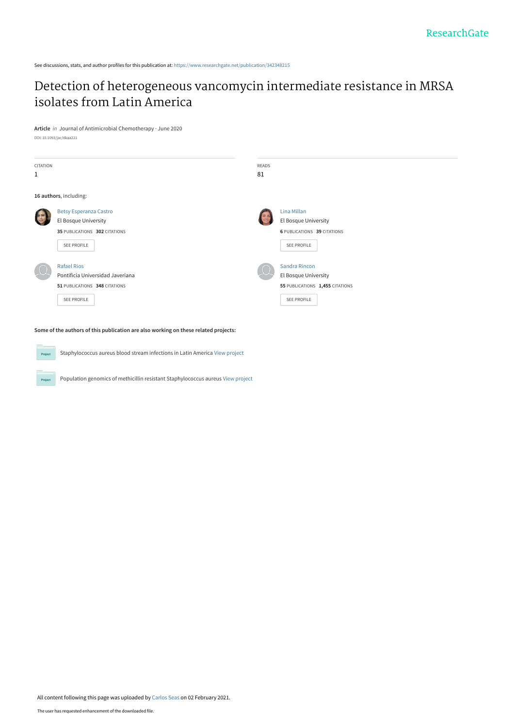See discussions, stats, and author profiles for this publication at: [https://www.researchgate.net/publication/342348215](https://www.researchgate.net/publication/342348215_Detection_of_heterogeneous_vancomycin_intermediate_resistance_in_MRSA_isolates_from_Latin_America?enrichId=rgreq-2fd5598dd16362b4cdf70785107f7c7b-XXX&enrichSource=Y292ZXJQYWdlOzM0MjM0ODIxNTtBUzo5ODY3NzM3NTY4NTAxNzZAMTYxMjI3NjYwNTA3Nw%3D%3D&el=1_x_2&_esc=publicationCoverPdf)

# [Detection of heterogeneous vancomycin intermediate resistance in MRSA](https://www.researchgate.net/publication/342348215_Detection_of_heterogeneous_vancomycin_intermediate_resistance_in_MRSA_isolates_from_Latin_America?enrichId=rgreq-2fd5598dd16362b4cdf70785107f7c7b-XXX&enrichSource=Y292ZXJQYWdlOzM0MjM0ODIxNTtBUzo5ODY3NzM3NTY4NTAxNzZAMTYxMjI3NjYwNTA3Nw%3D%3D&el=1_x_3&_esc=publicationCoverPdf) isolates from Latin America

**Article** in Journal of Antimicrobial Chemotherapy · June 2020 DOI: 10.1093/jac/dkaa221

| <b>CITATION</b><br>$\mathbf{1}$ |                                                                                                               | <b>READS</b><br>81 |                                                                                                |
|---------------------------------|---------------------------------------------------------------------------------------------------------------|--------------------|------------------------------------------------------------------------------------------------|
|                                 | 16 authors, including:                                                                                        |                    |                                                                                                |
|                                 | <b>Betsy Esperanza Castro</b><br>El Bosque University<br>35 PUBLICATIONS 302 CITATIONS<br>SEE PROFILE         |                    | Lina Millan<br>El Bosque University<br><b>6 PUBLICATIONS 39 CITATIONS</b><br>SEE PROFILE       |
|                                 | <b>Rafael Rios</b><br>Pontificia Universidad Javeriana<br>51 PUBLICATIONS 348 CITATIONS<br><b>SEE PROFILE</b> |                    | <b>Sandra Rincon</b><br>El Bosque University<br>55 PUBLICATIONS 1,455 CITATIONS<br>SEE PROFILE |

**Some of the authors of this publication are also working on these related projects:**

Project

Staphylococcus aureus blood stream infections in Latin America [View project](https://www.researchgate.net/project/Staphylococcus-aureus-blood-stream-infections-in-Latin-America?enrichId=rgreq-2fd5598dd16362b4cdf70785107f7c7b-XXX&enrichSource=Y292ZXJQYWdlOzM0MjM0ODIxNTtBUzo5ODY3NzM3NTY4NTAxNzZAMTYxMjI3NjYwNTA3Nw%3D%3D&el=1_x_9&_esc=publicationCoverPdf) **Project** Population genomics of methicillin resistant Staphylococcus aureus [View project](https://www.researchgate.net/project/Population-genomics-of-methicillin-resistant-Staphylococcus-aureus?enrichId=rgreq-2fd5598dd16362b4cdf70785107f7c7b-XXX&enrichSource=Y292ZXJQYWdlOzM0MjM0ODIxNTtBUzo5ODY3NzM3NTY4NTAxNzZAMTYxMjI3NjYwNTA3Nw%3D%3D&el=1_x_9&_esc=publicationCoverPdf)

All content following this page was uploaded by [Carlos Seas](https://www.researchgate.net/profile/Carlos-Seas?enrichId=rgreq-2fd5598dd16362b4cdf70785107f7c7b-XXX&enrichSource=Y292ZXJQYWdlOzM0MjM0ODIxNTtBUzo5ODY3NzM3NTY4NTAxNzZAMTYxMjI3NjYwNTA3Nw%3D%3D&el=1_x_10&_esc=publicationCoverPdf) on 02 February 2021.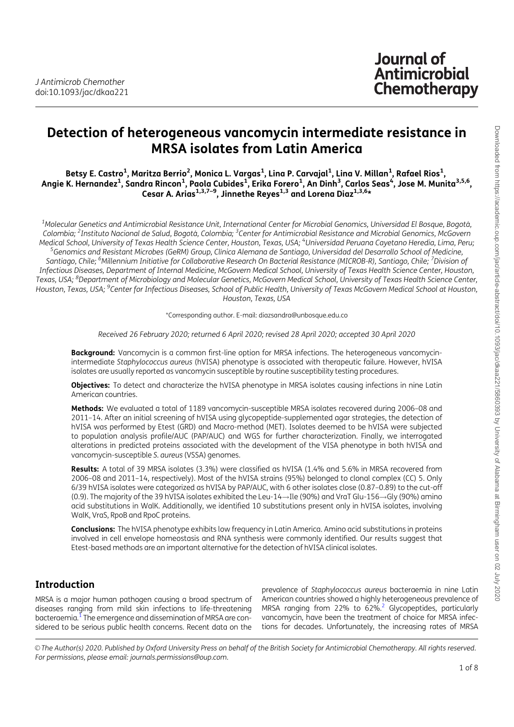# **Journal of Antimicrobial** Chemotherapy

# Detection of heterogeneous vancomycin intermediate resistance in MRSA isolates from Latin America

Betsy E. Castro<sup>1</sup>, Maritza Berrio<sup>2</sup>, Monica L. Vargas<sup>1</sup>, Lina P. Carvajal<sup>1</sup>, Lina V. Millan<sup>1</sup>, Rafael Rios<sup>1</sup>, Angie K. Hernandez<sup>1</sup>, Sandra Rincon<sup>1</sup>, Paola Cubides<sup>1</sup>, Erika Forero<sup>1</sup>, An Dinh<sup>3</sup>, Carlos Seas<sup>4</sup>, Jose M. Munita<sup>3,5,6</sup>, Cesar A. Arias $^{1,3,7-9}$ , Jinnethe Reyes $^{1,3}$  and Lorena Diaz $^{1,3,6*}$ 

 $^{\rm 1}$ Molecular Genetics and Antimicrobial Resistance Unit, International Center for Microbial Genomics, Universidad El Bosque, Bogotá, Colombia; <sup>2</sup>Instituto Nacional de Salud, Bogotá, Colombia; <sup>3</sup>Center for Antimicrobial Resistance and Microbial Genomics, McGovern Medical School, University of Texas Health Science Center, Houston, Texas, USA; <sup>4</sup>Universidad Peruana Cayetano Heredia, Lima, Peru;<br>SGenomics and Pesistant Microbes (GePM) Group, Clínica Nemana de Santiago, Universidad de <sup>5</sup>Genomics and Resistant Microbes (GeRM) Group, Clínica Alemana de Santiago, Universidad del Desarrollo School of Medicine, Santiago, Chile; <sup>6</sup>Millennium Initiative for Collaborative Research On Bacterial Resistance (MICROB-R), Santiago, Chile; <sup>7</sup>Division of Infectious Diseases, Department of Internal Medicine, McGovern Medical School, University of Texas Health Science Center, Houston, Texas, USA; <sup>8</sup>Department of Microbiology and Molecular Genetics, McGovern Medical School, University of Texas Health Science Center, Houston, Texas, USA; <sup>9</sup>Center for Infectious Diseases, School of Public Health, University of Texas McGovern Medical School at Houston, Houston, Texas, USA

\*Corresponding author. E-mail: diazsandra@unbosque.edu.co

Received 26 February 2020; returned 6 April 2020; revised 28 April 2020; accepted 30 April 2020

Background: Vancomycin is a common first-line option for MRSA infections. The heterogeneous vancomycinintermediate Staphylococcus aureus (hVISA) phenotype is associated with therapeutic failure. However, hVISA isolates are usually reported as vancomycin susceptible by routine susceptibility testing procedures.

Objectives: To detect and characterize the hVISA phenotype in MRSA isolates causing infections in nine Latin American countries.

Methods: We evaluated a total of 1189 vancomycin-susceptible MRSA isolates recovered during 2006-08 and 2011–14. After an initial screening of hVISA using glycopeptide-supplemented agar strategies, the detection of hVISA was performed by Etest (GRD) and Macro-method (MET). Isolates deemed to be hVISA were subjected to population analysis profile/AUC (PAP/AUC) and WGS for further characterization. Finally, we interrogated alterations in predicted proteins associated with the development of the VISA phenotype in both hVISA and vancomycin-susceptible S. aureus (VSSA) genomes.

Results: A total of 39 MRSA isolates (3.3%) were classified as hVISA (1.4% and 5.6% in MRSA recovered from 2006–08 and 2011–14, respectively). Most of the hVISA strains (95%) belonged to clonal complex (CC) 5. Only 6/39 hVISA isolates were categorized as hVISA by PAP/AUC, with 6 other isolates close (0.87–0.89) to the cut-off (0.9). The majority of the 39 hVISA isolates exhibited the Leu-14  $\rightarrow$  Ile (90%) and VraT Glu-156  $\rightarrow$  Gly (90%) amino acid substitutions in WalK. Additionally, we identified 10 substitutions present only in hVISA isolates, involving WalK, VraS, RpoB and RpoC proteins.

Conclusions: The hVISA phenotype exhibits low frequency in Latin America. Amino acid substitutions in proteins involved in cell envelope homeostasis and RNA synthesis were commonly identified. Our results suggest that Etest-based methods are an important alternative for the detection of hVISA clinical isolates.

# Introduction

MRSA is a major human pathogen causing a broad spectrum of diseases ranging from mild skin infections to life-threatening bacteraemia.<sup>1</sup> The emergence and dissemination of MRSA are considered to be serious public health concerns. Recent data on the

prevalence of Staphylococcus aureus bacteraemia in nine Latin American countries showed a highly heterogeneous prevalence of MRSA ranging from 22% to  $62\%$ .<sup>2</sup> Glycopeptides, particularly vancomycin, have been the treatment of choice for MRSA infections for decades. Unfortunately, the increasing rates of MRSA

V<sup>C</sup> The Author(s) 2020. Published by Oxford University Press on behalf of the British Society for Antimicrobial Chemotherapy. All rights reserved. For permissions, please email: journals.permissions@oup.com.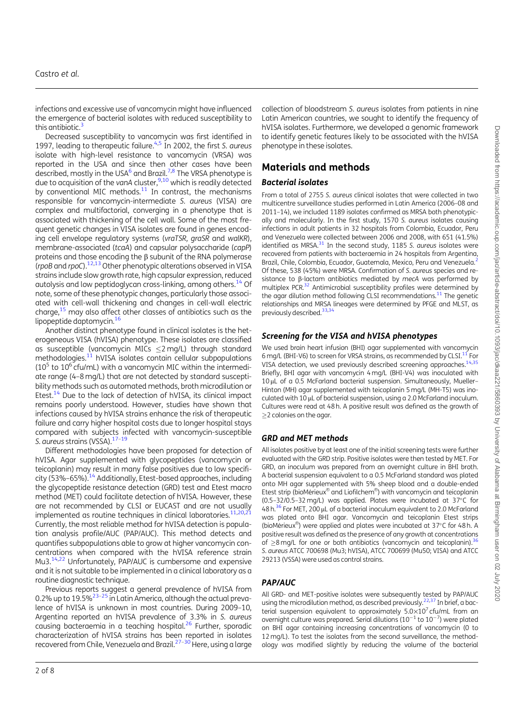infections and excessive use of vancomycin might have influenced the emergence of bacterial isolates with reduced susceptibility to this antibiotic. $3$ 

Decreased susceptibility to vancomycin was first identified in 1997, leading to therapeutic failure. $4.5$  In 2002, the first S. aureus isolate with high-level resistance to vancomycin (VRSA) was reported in the USA and since then other cases have been described, mostly in the USA $^6$  and Brazil.<sup>7,8</sup> The VRSA phenotype is due to acquisition of the vanA cluster, $9,10$  which is readily detected by conventional MIC methods. $11$  In contrast, the mechanisms responsible for vancomycin-intermediate S. aureus (VISA) are complex and multifactorial, converging in a phenotype that is associated with thickening of the cell wall. Some of the most frequent genetic changes in VISA isolates are found in genes encoding cell envelope regulatory systems (vraTSR, graSR and walKR), membrane-associated (tcaA) and capsular polysaccharide (capP) proteins and those encoding the  $\beta$  subunit of the RNA polymerase (rpoB and rpoC).<sup>12,13</sup> Other phenotypic alterations observed in VISA strains include slow growth rate, high capsular expression, reduced autolysis and low peptidoglycan cross-linking, among others.<sup>14</sup> Of note, some of these phenotypic changes, particularly those associated with cell-wall thickening and changes in cell-wall electric charge, $15$  may also affect other classes of antibiotics such as the lipopeptide daptomycin.<sup>16</sup>

Another distinct phenotype found in clinical isolates is the heterogeneous VISA (hVISA) phenotype. These isolates are classified as susceptible (vancomycin MICs  $\leq$ 2 mg/L) through standard methodologies.11 hVISA isolates contain cellular subpopulations  $(10<sup>5</sup>$  to  $10<sup>6</sup>$  cfu/mL) with a vancomycin MIC within the intermediate range (4–8mg/L) that are not detected by standard susceptibility methods such as automated methods, broth microdilution or Etest.<sup>14</sup> Due to the lack of detection of hVISA, its clinical impact remains poorly understood. However, studies have shown that infections caused by hVISA strains enhance the risk of therapeutic failure and carry higher hospital costs due to longer hospital stays compared with subjects infected with vancomycin-susceptible S. aureus strains (VSSA).<sup>17-19</sup>

Different methodologies have been proposed for detection of hVISA. Agar supplemented with glycopeptides (vancomycin or teicoplanin) may result in many false positives due to low specificity (53%-65%).<sup>14</sup> Additionally, Etest-based approaches, including the glycopeptide resistance detection (GRD) test and Etest macro method (MET) could facilitate detection of hVISA. However, these are not recommended by CLSI or EUCAST and are not usually implemented as routine techniques in clinical laboratories.<sup>11,20,2</sup> Currently, the most reliable method for hVISA detection is population analysis profile/AUC (PAP/AUC). This method detects and quantifies subpopulations able to grow at higher vancomycin concentrations when compared with the hVISA reference strain Mu3.14,22 Unfortunately, PAP/AUC is cumbersome and expensive and it is not suitable to be implemented in a clinical laboratory as a routine diagnostic technique.

Previous reports suggest a general prevalence of hVISA from 0.2% up to 19.5%<sup>23-25</sup> in Latin America, although the actual prevalence of hVISA is unknown in most countries. During 2009–10, Argentina reported an hVISA prevalence of 3.3% in S. aureus causing bacteraemia in a teaching hospital.<sup>26</sup> Further, sporadic characterization of hVISA strains has been reported in isolates recovered from Chile, Venezuela and Brazil.<sup>27–30</sup> Here, using a large

collection of bloodstream S. aureus isolates from patients in nine Latin American countries, we sought to identify the frequency of hVISA isolates. Furthermore, we developed a genomic framework to identify genetic features likely to be associated with the hVISA phenotype in these isolates.

# Materials and methods

#### Bacterial isolates

From a total of 2755 S. aureus clinical isolates that were collected in two multicentre surveillance studies performed in Latin America (2006–08 and 2011–14), we included 1189 isolates confirmed as MRSA both phenotypically and molecularly. In the first study, 1570 S. aureus isolates causing infections in adult patients in 32 hospitals from Colombia, Ecuador, Peru and Venezuela were collected between 2006 and 2008, with 651 (41.5%) identified as MRSA.<sup>31</sup> In the second study, 1185 S. aureus isolates were recovered from patients with bacteraemia in 24 hospitals from Argentina, Brazil, Chile, Colombia, Ecuador, Guatemala, Mexico, Peru and Venezuela.<sup>2</sup> Of these, 538 (45%) were MRSA. Confirmation of S. aureus species and resistance to  $\beta$ -lactam antibiotics mediated by mecA was performed by multiplex PCR.<sup>32</sup> Antimicrobial susceptibility profiles were determined by the agar dilution method following CLSI recommendations.<sup>11</sup> The genetic relationships and MRSA lineages were determined by PFGE and MLST, as previously described.<sup>33,3</sup>

## Screening for the VISA and hVISA phenotypes

We used brain heart infusion (BHI) agar supplemented with vancomycin 6 mg/L (BHI-V6) to screen for VRSA strains, as recommended by CLSI.11 For VISA detection, we used previously described screening approaches.<sup>14,35</sup> Briefly, BHI agar with vancomycin 4 mg/L (BHI-V4) was inoculated with 10 µL of a 0.5 McFarland bacterial suspension. Simultaneously, Mueller-Hinton (MH) agar supplemented with teicoplanin 5 mg/L (MH-T5) was inoculated with 10  $\mu$ L of bacterial suspension, using a 2.0 McFarland inoculum. Cultures were read at 48 h. A positive result was defined as the growth of  $>$  2 colonies on the agar.

#### GRD and MET methods

All isolates positive by at least one of the initial screening tests were further evaluated with the GRD strip. Positive isolates were then tested by MET. For GRD, an inoculum was prepared from an overnight culture in BHI broth. A bacterial suspension equivalent to a 0.5 McFarland standard was plated onto MH agar supplemented with 5% sheep blood and a double-ended Etest strip (bioMérieux® and Liofilchem®) with vancomycin and teicoplanin (0.5-32/0.5-32 mg/L) was applied. Plates were incubated at  $37^{\circ}$ C for  $48 h<sup>36</sup>$  For MET, 200 µL of a bacterial inoculum equivalent to 2.0 McFarland was plated onto BHI agar. Vancomycin and teicoplanin Etest strips (bioMérieux®) were applied and plates were incubated at 37 $\degree$ C for 48 h. A positive result was defined as the presence of any growth at concentrations of  $\geq$ 8 mg/L for one or both antibiotics (vancomycin and teicoplanin).<sup>3</sup> S. aureus ATCC 700698 (Mu3; hVISA), ATCC 700699 (Mu50; VISA) and ATCC 29213 (VSSA) were used as control strains.

## PAP/AUC

All GRD- and MET-positive isolates were subsequently tested by PAP/AUC using the microdilution method, as described previously.<sup>22,37</sup> In brief, a bacterial suspension equivalent to approximately  $5.0\times10^{7}$  cfu/mL from an overnight culture was prepared. Serial dilutions ( $10^{-1}$  to  $10^{-7}$ ) were plated on BHI agar containing increasing concentrations of vancomycin (0 to 12mg/L). To test the isolates from the second surveillance, the methodology was modified slightly by reducing the volume of the bacterial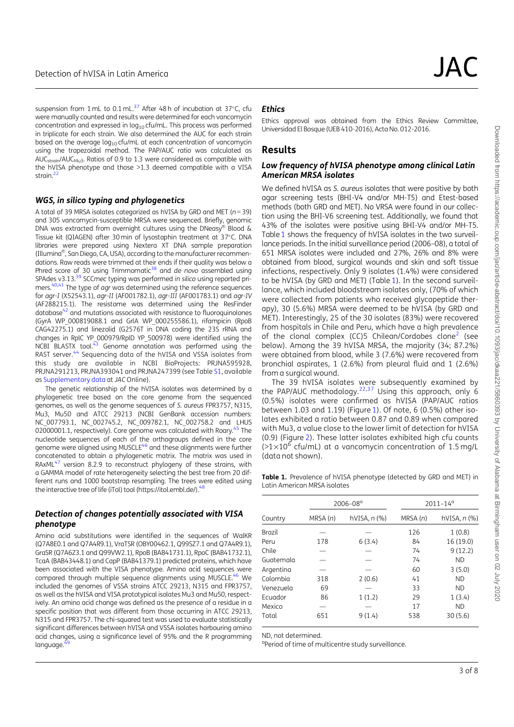suspension from 1 mL to 0.1 mL. $^{37}$  After 48 h of incubation at 37 $^{\circ}$ C, cfu were manually counted and results were determined for each vancomycin concentration and expressed in  $log_{10}$  cfu/mL. This process was performed in triplicate for each strain. We also determined the AUC for each strain based on the average  $log_{10}$  cfu/mL at each concentration of vancomycin using the trapezoidal method. The PAP/AUC ratio was calculated as AUC<sub>strain</sub>/AUC<sub>Mu3</sub>. Ratios of 0.9 to 1.3 were considered as compatible with the hVISA phenotype and those >1.3 deemed compatible with a VISA strain $\frac{22}{3}$ 

#### WGS, in silico typing and phylogenetics

A total of 39 MRSA isolates categorized as hVISA by GRD and MET ( $n = 39$ ) and 305 vancomycin-susceptible MRSA were sequenced. Briefly, genomic DNA was extracted from overnight cultures using the DNeasy® Blood & Tissue kit (QIAGEN) after 30 min of lysostaphin treatment at 37°C. DNA libraries were prepared using Nextera XT DNA sample preparation (Illumina®, San Diego, CA, USA), according to the manufacturer recommendations. Raw reads were trimmed at their ends if their quality was below a<br>Phred score of 30 using Trimmomatic<sup>38</sup> and *de novo* assembled using SPAdes v3.13.<sup>39</sup> SCCmec typing was performed in silico using reported primers.<sup>40,41</sup> The type of agr was determined using the reference sequences for agr-I (X52543.1), agr-II (AF001782.1), agr-III (AF001783.1) and agr-IV (AF288215.1). The resistome was determined using the ResFinder database $42$  and mutations associated with resistance to fluoroquinolones (GyrA WP\_000819088.1 and GrlA WP\_000255586.1), rifampicin (RpoB CAG42275.1) and linezolid (G2576T in DNA coding the 23S rRNA and changes in RplC YP\_000979/RplD YP\_500978) were identified using the  $NCBI$  BLASTX tool.<sup>43</sup> Genome annotation was performed using the RAST server.<sup>44</sup> Sequencing data of the hVISA and VSSA isolates from this study are available in NCBI BioProjects: PRJNA595928, PRJNA291213, PRJNA393041 and PRJNA247399 (see Table S1, available as Supplementary data at JAC Online).

The genetic relationship of the hVISA isolates was determined by a phylogenetic tree based on the core genome from the sequenced genomes, as well as the genome sequences of S. aureus FPR3757, N315, Mu3, Mu50 and ATCC 29213 (NCBI GenBank accession numbers: NC\_007793.1, NC\_002745.2, NC\_009782.1, NC\_002758.2 and LHUS 02000001.1, respectively). Core genome was calculated with Roary.<sup>45</sup> The nucleotide sequences of each of the orthogroups defined in the core genome were aligned using MUSCLE<sup>46</sup> and these alignments were further concatenated to obtain a phylogenetic matrix. The matrix was used in RAxML<sup>47</sup> version 8.2.9 to reconstruct phylogeny of these strains, with a GAMMA model of rate heterogeneity selecting the best tree from 20 different runs and 1000 bootstrap resampling. The trees were edited using the interactive tree of life (iTol) tool (https://itol.embl.de/).<sup>4</sup>

#### Detection of changes potentially associated with VISA phenotype

Amino acid substitutions were identified in the sequences of WalKR (Q7A8E0.1 and Q7A4R9.1), VraTSR (OBY00462.1, Q99SZ7.1 and Q7A4R9.1), GraSR (Q7A6Z3.1 and Q99VW2.1), RpoB (BAB41731.1), RpoC (BAB41732.1), TcaA (BAB43448.1) and CapP (BAB41379.1) predicted proteins, which have been associated with the VISA phenotype. Amino acid sequences were compared through multiple sequence alignments using MUSCLE.46 We included the genomes of VSSA strains ATCC 29213, N315 and FPR3757, as well as the hVISA and VISA prototypical isolates Mu3 and Mu50, respectively. An amino acid change was defined as the presence of a residue in a specific position that was different from those occurring in ATCC 29213, N315 and FPR3757. The chi-squared test was used to evaluate statistically significant differences between hVISA and VSSA isolates harbouring amino acid changes, using a significance level of 95% and the R programming language.

#### **Ethics**

Ethics approval was obtained from the Ethics Review Committee, Universidad El Bosque (UEB 410-2016), Acta No. 012-2016.

## Results

#### Low frequency of hVISA phenotype among clinical Latin American MRSA isolates

We defined hVISA as S. aureus isolates that were positive by both agar screening tests (BHI-V4 and/or MH-T5) and Etest-based methods (both GRD and MET). No VRSA were found in our collection using the BHI-V6 screening test. Additionally, we found that 43% of the isolates were positive using BHI-V4 and/or MH-T5. Table 1 shows the frequency of hVISA isolates in the two surveillance periods. In the initial surveillance period (2006–08), a total of 651 MRSA isolates were included and 27%, 26% and 8% were obtained from blood, surgical wounds and skin and soft tissue infections, respectively. Only 9 isolates (1.4%) were considered to be hVISA (by GRD and MET) (Table 1). In the second surveillance, which included bloodstream isolates only, (70% of which were collected from patients who received glycopeptide therapy), 30 (5.6%) MRSA were deemed to be hVISA (by GRD and MET). Interestingly, 25 of the 30 isolates (83%) were recovered from hospitals in Chile and Peru, which have a high prevalence of the clonal complex (CC)5 Chilean/Cordobes clone<sup>2</sup> (see below). Among the 39 hVISA MRSA, the majority (34; 87.2%) were obtained from blood, while 3 (7.6%) were recovered from bronchial aspirates, 1 (2.6%) from pleural fluid and 1 (2.6%) from a surgical wound.

The 39 hVISA isolates were subsequently examined by the PAP/AUC methodology.<sup>22,37</sup> Using this approach, only 6 (0.5%) isolates were confirmed as hVISA (PAP/AUC ratios between 1.03 and 1.19) (Figure 1). Of note, 6 (0.5%) other isolates exhibited a ratio between 0.87 and 0.89 when compared with Mu3, a value close to the lower limit of detection for hVISA (0.9) (Figure 2). These latter isolates exhibited high cfu counts  $(>1\times10^6$  cfu/mL) at a vancomycin concentration of 1.5 mg/L (data not shown).

| Table 1. Prevalence of hVISA phenotype (detected by GRD and MET) in |  |
|---------------------------------------------------------------------|--|
| Latin American MRSA isolates                                        |  |

|           |         | $2006 - 08a$             | $2011 - 14^{\circ}$ |              |  |  |  |  |  |  |
|-----------|---------|--------------------------|---------------------|--------------|--|--|--|--|--|--|
| Country   | MRSA(n) | hVISA, n <sub>(</sub> %) | MRSA(n)             | hVISA, n (%) |  |  |  |  |  |  |
| Brazil    |         |                          | 126                 | 1(0.8)       |  |  |  |  |  |  |
| Peru      | 178     | 6(3.4)                   | 84                  | 16 (19.0)    |  |  |  |  |  |  |
| Chile     |         |                          | 74                  | 9(12.2)      |  |  |  |  |  |  |
| Guatemala |         |                          | 74                  | <b>ND</b>    |  |  |  |  |  |  |
| Argentina |         |                          | 60                  | 3(5.0)       |  |  |  |  |  |  |
| Colombia  | 318     | 2(0.6)                   | 41                  | <b>ND</b>    |  |  |  |  |  |  |
| Venezuela | 69      |                          | 33                  | <b>ND</b>    |  |  |  |  |  |  |
| Ecuador   | 86      | 1(1.2)                   | 29                  | 1(3.4)       |  |  |  |  |  |  |
| Mexico    |         |                          | 17                  | <b>ND</b>    |  |  |  |  |  |  |
| Total     | 651     | 9(1.4)                   | 538                 | 30(5.6)      |  |  |  |  |  |  |

ND, not determined.

<sup>a</sup>Period of time of multicentre study surveillance.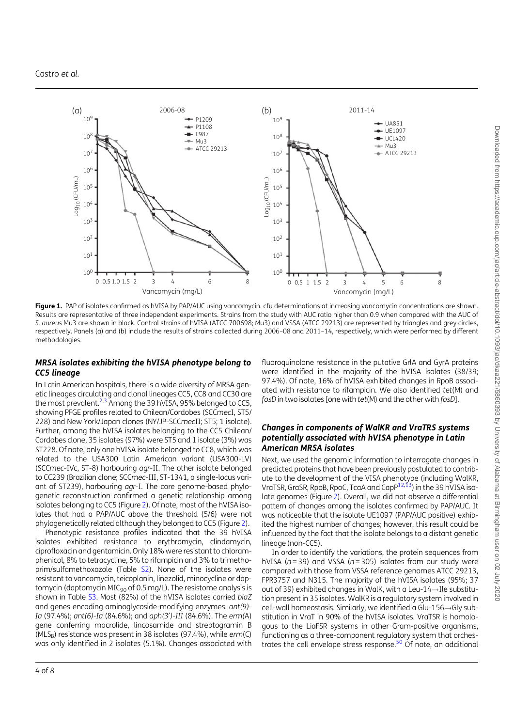

Figure 1. PAP of isolates confirmed as hVISA by PAP/AUC using vancomycin. cfu determinations at increasing vancomycin concentrations are shown. Results are representative of three independent experiments. Strains from the study with AUC ratio higher than 0.9 when compared with the AUC of S. aureus Mu3 are shown in black. Control strains of hVISA (ATCC 700698; Mu3) and VSSA (ATCC 29213) are represented by triangles and grey circles, respectively. Panels (a) and (b) include the results of strains collected during 2006–08 and 2011–14, respectively, which were performed by different methodologies.

#### MRSA isolates exhibiting the hVISA phenotype belong to CC5 lineage

In Latin American hospitals, there is a wide diversity of MRSA genetic lineages circulating and clonal lineages CC5, CC8 and CC30 are the most prevalent.<sup>2,3</sup> Among the 39 hVISA, 95% belonged to CC5, showing PFGE profiles related to Chilean/Cordobes (SCCmecI, ST5/ 228) and New York/Japan clones (NY/JP-SCCmecII; ST5; 1 isolate). Further, among the hVISA isolates belonging to the CC5 Chilean/ Cordobes clone, 35 isolates (97%) were ST5 and 1 isolate (3%) was ST228. Of note, only one hVISA isolate belonged to CC8, which was related to the USA300 Latin American variant (USA300-LV) (SCCmec-IVc, ST-8) harbouring agr-II. The other isolate belonged to CC239 (Brazilian clone; SCCmec-III, ST-1341, a single-locus variant of ST239), harbouring agr-I. The core genome-based phylogenetic reconstruction confirmed a genetic relationship among isolates belonging to CC5 (Figure 2). Of note, most of the hVISA isolates that had a PAP/AUC above the threshold (5/6) were not phylogenetically related although they belonged to CC5 (Figure 2).

Phenotypic resistance profiles indicated that the 39 hVISA isolates exhibited resistance to erythromycin, clindamycin, ciprofloxacin and gentamicin. Only 18% were resistant to chloramphenicol, 8% to tetracycline, 5% to rifampicin and 3% to trimethoprim/sulfamethoxazole (Table S2). None of the isolates were resistant to vancomycin, teicoplanin, linezolid, minocycline or daptomycin (daptomycin MIC<sub>90</sub> of 0.5 mg/L). The resistome analysis is shown in Table S3. Most (82%) of the hVISA isolates carried blaZ and genes encoding aminoglycoside-modifying enzymes: ant(9)- Ia (97.4%); ant(6)-Ia (84.6%); and aph(3')-III (84.6%). The erm(A) gene conferring macrolide, lincosamide and streptogramin B ( $MLS<sub>B</sub>$ ) resistance was present in 38 isolates (97.4%), while erm(C) was only identified in 2 isolates (5.1%). Changes associated with

fluoroquinolone resistance in the putative GrlA and GyrA proteins were identified in the majority of the hVISA isolates (38/39; 97.4%). Of note, 16% of hVISA exhibited changes in RpoB associated with resistance to rifampicin. We also identified tet(M) and fosD in two isolates [one with tet(M) and the other with fosD].

#### Changes in components of WalKR and VraTRS systems potentially associated with hVISA phenotype in Latin American MRSA isolates

Next, we used the genomic information to interrogate changes in predicted proteins that have been previously postulated to contribute to the development of the VISA phenotype (including WalKR, VraTSR, GraSR, RpoB, RpoC, TcaA and CapP<sup>12,13</sup>) in the 39 hVISA isolate genomes (Figure 2). Overall, we did not observe a differential pattern of changes among the isolates confirmed by PAP/AUC. It was noticeable that the isolate UE1097 (PAP/AUC positive) exhibited the highest number of changes; however, this result could be influenced by the fact that the isolate belongs to a distant genetic lineage (non-CC5).

In order to identify the variations, the protein sequences from hVISA ( $n = 39$ ) and VSSA ( $n = 305$ ) isolates from our study were compared with those from VSSA reference genomes ATCC 29213, FPR3757 and N315. The majority of the hVISA isolates (95%; 37 out of 39) exhibited changes in WalK, with a Leu-14 $\rightarrow$ Ile substitution present in 35 isolates. WalKR is a regulatory system involved in  $cell$ -wall homeostasis. Similarly, we identified a Glu-156 $\rightarrow$ Gly substitution in VraT in 90% of the hVISA isolates. VraTSR is homologous to the LiaFSR systems in other Gram-positive organisms, functioning as a three-component regulatory system that orchestrates the cell envelope stress response. $50$  Of note, an additional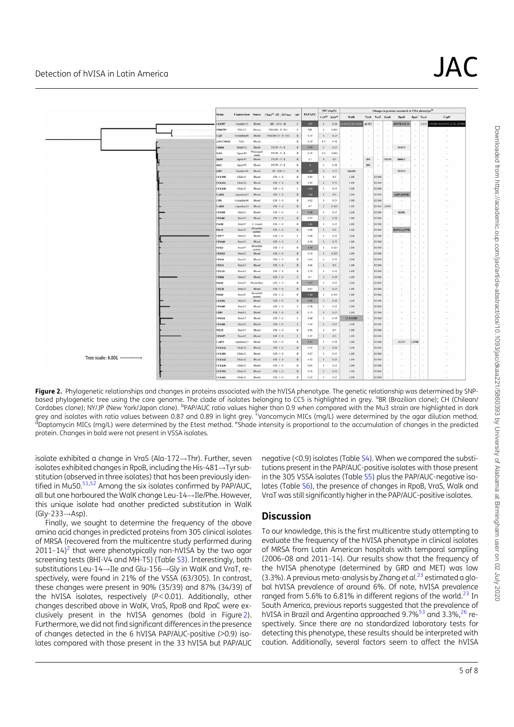# Detection of hVISA in Latin America  $\sf JAC$

|                     |            |                |                     |                              |                                     |                      |               | MIC (mg/L)                            |       |               |          | Changes in proteins associated to VISA phenotype <sup>10</sup> |                          |              |          |           |                                  |  |  |
|---------------------|------------|----------------|---------------------|------------------------------|-------------------------------------|----------------------|---------------|---------------------------------------|-------|---------------|----------|----------------------------------------------------------------|--------------------------|--------------|----------|-----------|----------------------------------|--|--|
|                     |            | <b>Strain</b>  | Country/year Source |                              | Clone <sup>101</sup> -ST-SCCmec egr |                      | <b>PAPAUC</b> | VAN <sup>(b)</sup> DAP <sup>(c)</sup> |       | WalK          |          |                                                                | VraS VraT GraR           | RpoB         |          | RpoC TeaA | CapP                             |  |  |
|                     |            | UE1097         | Ecuador/13          | <b>Blood</b>                 | BR - 1341 - III                     | л                    | 1.07          | $\mathbf{I}$                          | 0.38  | 14F.R222K.A46 | A172T    |                                                                | 16                       | 1527M.H481N  | $\sim$   |           | AIIS L81LR176S.D195E.I276L.H390B |  |  |
|                     | ---------- | <b>FPR3767</b> | USA/12              | Abscess                      | USA300 - 8 - IVa                    | -                    | ND            | ٠.                                    | 0.094 | $-$           | $\sim$   | ÷                                                              | $\rightarrow$            | $\sim$       | $\alpha$ | $\sim$    | $\sim$                           |  |  |
|                     |            | C329           | Colombia 06         | Blood                        | USA300-LV - 8 - IVe                 | п                    | 0.55          | $\mathbf{I}$                          | 0.25  | $\sim$        | $\sim$   | $\sim$                                                         | $\alpha$                 | $\sim$       | $\alpha$ | ×,        |                                  |  |  |
|                     |            | ATCC29213      | USA                 | Blood                        | $\sim$                              | п                    | 0.42          | 0.5                                   | 0.19  | $\sim$        | ×        | ×                                                              | $\sim$                   | $\sim$       | ×        |           |                                  |  |  |
|                     |            | <b>URIGG</b>   | Brazil/12           | Blood                        | $NY/BP - 5 - H$                     | $\pi$                | 0.89          | $\mathbf{r}$                          | 0.25  | $\sim$        | $\sim$   | $\sim$                                                         | 14                       | <b>H481N</b> | ×,       | ٠         |                                  |  |  |
|                     |            | N315           | Japon/82            | Phoryogeal<br>statu          | $NY/B-5-H$                          | п                    | 0.35          | 0.5                                   | 0.094 | $\sim$        |          | ¥                                                              | $\sim$                   | $\sim$       | $\omega$ | ×         |                                  |  |  |
|                     |            | Mada           | Japon/97            | Blood                        | $NY/B - 5 - \Pi$                    | $\blacksquare$       | 2.5           | $\ddot{\phantom{1}}$                  | 0.5   | $\sim$        | 15N      | $\sim$                                                         | N1978                    | <b>H481Y</b> | $\alpha$ | $\sim$    |                                  |  |  |
|                     |            | Ma3            | Japon/97            | Blood                        | $NY/B-5-H$                          | и                    | D.            | 1                                     | 0.38  | $\sim$        | 15N      | $\sim$                                                         | 14                       | $\sim$       | $\omega$ | ×         |                                  |  |  |
|                     |            | E987           | Ecuador 06          | Blood                        | $CH - 228 - 1$                      | $\mathbb{R}$         | 1.15          | $\mathfrak{D}$                        | 0.75  | G233D         | $\sim$   | $\sim$                                                         | $\sim$                   | <b>HISIN</b> | $\sim$   |           |                                  |  |  |
|                     |            | <b>UCL395</b>  | Chile/12            | Blood                        | $CH - S - I$                        | ×                    | 0.65          | $\mathbf{1}$                          | 0.5   | 1.141         | $\sim$   | 11560                                                          | $\overline{a}$           | $\sim$       | $\sim$   | ×         |                                  |  |  |
|                     |            | UCL361         | Chile/12            | Blood                        | $CH - 5 - I$                        | H.                   | 0.65          | $\mathbf{I}$                          | 0.75  | L141          | ù.       | E156G                                                          | ×                        | $\sim$       | $\omega$ | ×         |                                  |  |  |
|                     |            | <b>UCL420</b>  | Chile/12            | Blood                        | $CH - 5 - 1$                        | $\cdot$              | 1.03          | ٠                                     | 0.25  | L14I          | $\sim$   | E156G                                                          | 14                       | $\sim$       | ×        | ÷         |                                  |  |  |
|                     |            | <b>UARSI</b>   | Argentina/13        | Blood                        | $CH - 5 - 1$                        | $\scriptstyle\rm II$ | 1.84          | $\mathbf{1}$                          | .0.5  | L14I          | $\sim$   | E1560                                                          | $\lambda$                | A32V,D471E   |          |           |                                  |  |  |
|                     |            | C591           | Colombia 06         | Blood                        | $CH - 5 - I$                        | п                    | 0.82          | $\mathbf{1}$                          | 0.25  | L14I          | $\sim$   | E156G                                                          |                          | Car-         | $\alpha$ |           |                                  |  |  |
|                     |            | <b>UA859</b>   | Argentina/13        | <b>Blood</b>                 | $CH-5-1$                            | $\pi$                | 0.7           | $\mathbf{1}$                          | 0.125 | 1.141         | $\sim$   |                                                                | 1156G 1.2031             | $\sim$       |          |           |                                  |  |  |
|                     |            | <b>UP1058</b>  | Penu'12             | Blood                        | $CH-5-1$                            | $\mathbf{I}$         | 0.88          | $\mathbf{I}$                          | 0.25  | L141          | $\sim$   | E1560                                                          |                          | S5291.       | $\sim$   | ٠         |                                  |  |  |
|                     |            | EP1681         | Peru/13             | Blood                        | $CH - 5 - I$                        | п                    | 0.52          | $\mathbf{I}$                          | 0.19  | L14I          | ÷        | E156G                                                          |                          |              | $\sim$   | ٠         |                                  |  |  |
|                     |            | P1108          | Peru 07             | S. wound                     | $CH - 5 - I$                        | $\mathbf{u}$         | 1.11          | $\mathbf{1}$                          | 0.25  | 1.141         | $\sim$   | E156G                                                          |                          |              | ٠        | i,        |                                  |  |  |
|                     |            | P1112          | Pens 07             | <b>Brouchial</b><br>aupirate | $CH - 5 - 1$                        | $\blacksquare$       | 0.68          | $\mathbbm{1}$                         | 0.5   | L14I          | $\sim$   | E156G                                                          | - 2                      | D471G, A477D |          | ٠         |                                  |  |  |
|                     |            | UP977          | Peru/13             | Blood                        | $CH - 5 - I$                        | 1                    | 0,66          | 1                                     | 0.25  | 1.141         | $\sim$   | 11560                                                          | - 6                      | $\sim$       | $\alpha$ | $\alpha$  |                                  |  |  |
|                     |            | EP1049         | Feru'13             | Blood                        | $CH-5-1$                            | $\mathbf{1}$         | 0.56          | $\mathbf{1}$                          | 0.25  | L141          | $\sim$   | E1560                                                          | $\sim$                   | $\sim$       | $\sim$   | $\sim$    |                                  |  |  |
|                     |            | P1923          | Peru 07             | Bronchial<br>aspirate        | $CH - 5 - I$                        | л                    | 0.89          | 1                                     | 0.125 | L14I          | ×        | E156G                                                          |                          |              |          |           |                                  |  |  |
|                     |            | EP1013         | Peru/13             | Blood                        | $CH - 5 - 1$                        | $\blacksquare$       | 0.74          | $\mathbf{I}$                          | 0.125 | 1.141         | $\sim$   | 11560                                                          |                          | <b>.</b>     | $\sim$   | ×.        |                                  |  |  |
|                     |            | UP106          | Peru/11             | Blood                        | $CH-5-1$                            | п                    | 0.64          | $\mathbf{1}$                          | 0.75  | L14I          | ×        | E1560                                                          | ÷.                       | $\sim$       | ×,       | s         |                                  |  |  |
|                     |            | UP131          | Peru/11             | Blood                        | $CH - 5 - I$                        | $\pi$                | 0.66          | $\mathbf{I}$                          | 0.5   | L141          | $\sim$   | E156G                                                          | 14                       | $\sim$       | $\sim$   | $\alpha$  |                                  |  |  |
|                     |            | UP1161         | Peru/13             | Blood                        | $CH-5-1$                            | $\blacksquare$       | 0.79          | $\mathbf{1}$                          | 0.19  | L141          | ×.       | E1560                                                          | $\sim$                   | c.           | $\sim$   | $\sim$    |                                  |  |  |
|                     |            | UP686          | Pens'13             | <b>Blood</b>                 | $CH - 5 - I$                        | $\mathbf{1}$         | 0.7           | $\mathbf{r}$                          | 0.19  | L14I          | $\sim$   | E156G                                                          |                          | $\sim$       | $\sim$   |           |                                  |  |  |
|                     |            | P1215          | Peru 07             | Pleasal fluid                | $CH-5-1$                            | л                    | 0.87          |                                       | 0.25  | L141          | $\sim$   | 1156G                                                          |                          | $\sim$       | ٠        | ×         |                                  |  |  |
|                     |            | UP120          | Peru/11             | Blood                        | $CH - 5 - 1$                        | п                    | 0.67          |                                       | 0.25  | L14I          | ×        | E1560                                                          | $\overline{\phantom{a}}$ | $\sim$       | $\sim$   | ×         |                                  |  |  |
|                     |            | P1209          | Penu07              | <b>Bronchial</b><br>aspirate | $CH - 5 - 1$                        | $\mathbf{u}$         | 1.19          | ×                                     | 0.125 | 1.141         | $\sim$   | E156G                                                          | 14                       | $\sim$       | $\sim$   | $\sim$    |                                  |  |  |
|                     |            | UP1052         | Peru/13             | <b>Blood</b>                 | $CH - 5 - I$                        | п                    | 0.88          | $\mathbb{I}$                          | 0.38  | L14I          | $\sim$   | 11560                                                          | <b>Call</b>              | ×.           | ×,       | i.        |                                  |  |  |
|                     |            | UP1085         | Peru/13             | Blood                        | $CH - 5 - I$                        | -                    | 0.78          | $\mathbf{1}$                          | 0.25  | L141          | $\sim$   | E156G                                                          | $\sim$                   | $\sim$       | $\sim$   |           |                                  |  |  |
|                     |            | UP89           | Peru/11             | <b>Blood</b>                 | $CH - 5 - I$                        | $\mathbbm{1}$        | 0.73          | $\mathbf{I}$                          | 0.25  | L14I          | ×        | E156G                                                          |                          | ÷            | ٠        | ×         |                                  |  |  |
|                     |            | UP1014         | Peru/13             | Blood                        | $CH - S - I$                        | 1                    | 0.68          | 1                                     | 0.19  | L141,G25C     | $\sim$   | E1560                                                          | ×.                       | $\sim$       | $\sim$   | ÷         |                                  |  |  |
|                     |            | <b>L'P1088</b> | Peru/13             | <b>Blood</b>                 | $CH - 5 - I$                        | $\mathbf{I}$         | 0.46          | $\mathbf{I}$                          | 0.25  | L141          | $\sim$   | E156G                                                          | - 2                      | -            | $\alpha$ | ×         |                                  |  |  |
|                     |            | P1233          | Peru/13             | Blood                        | $CH - 5 - I$                        | п                    | 0.81          | -1                                    | 0.5   | L14I          | $\sim$   | I156G                                                          |                          | $\sim$       | $\sim$   | ٠         |                                  |  |  |
|                     |            | EP1057         | Peru/13             | Blood                        | $CH - 5 - I$                        | $\mathbf{I}$         | 0.55          | $\mathbb{I}$                          | 0.5   | L141          | $\sim$   | E156G                                                          | 14                       | $\sim$       | $\sim$   |           |                                  |  |  |
|                     |            | UA873          | Argentina/13        | Blood                        | $CH - 5 - I$                        | л                    | 0.87          | $\mathbf{I}$                          | 0.38  | L14I          | $\alpha$ | E156G                                                          | $\overline{\phantom{a}}$ | A326V        | L179F    |           |                                  |  |  |
|                     |            | <b>UCL412</b>  | Chile/12            | Blood                        | $CH - S - I$                        | п                    | 0.53          | 1                                     | 0.38  | 1.141         | $\sim$   | 11560                                                          | $\sim$                   | $\sim$       | $\sim$   | $\sim$    |                                  |  |  |
| Tree scale: $0.001$ |            | <b>UCL381</b>  | Chile/12            | Blood                        | $CH-S-1$                            | п                    | 0.67          | 1                                     | 0.25  | L14I          | $\sim$   | E156G                                                          | $\sim$                   | ٠.           | ×        | ÷         |                                  |  |  |
|                     |            | UCL432         | Chile'12            | <b>Blood</b>                 | $CH - 5 - I$                        | $\blacksquare$       | 0.52          | $\mathbb{I}$                          | 0.25  | L14I          | $\sim$   | 11560                                                          |                          | $\sim$       | $\sim$   | ×         |                                  |  |  |
|                     |            | <b>UCL436</b>  | Chile/12            | Blood                        | $CH - 5 - 1$                        | $\overline{u}$       | 0.61          | $\cdot$ 1                             | 0.25  | 1.141         | $\sim$   | E1560                                                          | 14                       | $\sim$       | $\sim$   | $\sim$    |                                  |  |  |
|                     |            | UCL752         | Chile/12            | Blood                        | $CH-5-1$                            | $\blacksquare$       | 0.76          | $\mathbf{I}$                          | 0.25  | L14I          | $\sim$   | E156G                                                          | - 4                      | $\sim$       | $\alpha$ | $\sim$    |                                  |  |  |
|                     |            | <b>ECL461</b>  | Chile/12            | Blood.                       | $CH - 5 - 1$                        | $\mathbf{r}$         | 0.52          | $\mathbf{r}$                          | 0.25  | 1.141         |          | 1156G                                                          |                          |              |          |           |                                  |  |  |

Figure 2. Phylogenetic relationships and changes in proteins associated with the hVISA phenotype. The genetic relationship was determined by SNPbased phylogenetic tree using the core genome. The clade of isolates belonging to CC5 is highlighted in grey. <sup>a</sup>BR (Brazilian clone); CH (Chilean/ Cordobes clone); NY/JP (New York/Japan clone). <sup>b</sup>PAP/AUC ratio values higher than 0.9 when compared with the Mu3 strain are highlighted in dark grey and isolates with ratio values between 0.87 and 0.89 in light grey. <sup>E</sup>Vancomycin MICs (mg/L) were determined by the agar dilution method.<br><sup>d</sup>Dantomycin MICs (mg/L) were determined by the Etest method. <sup>e</sup>Shade intens Daptomycin MICs (mg/L) were determined by the Etest method. <sup>e</sup>Shade intensity is proportional to the accumulation of changes in the predicted protein. Changes in bold were not present in VSSA isolates.

isolate exhibited a change in VraS (Ala-172 $\rightarrow$ Thr). Further, seven isolates exhibited changes in RpoB, including the His-481 $\rightarrow$ Tyr substitution (observed in three isolates) that has been previously identified in Mu50.<sup>51,52</sup> Among the six isolates confirmed by PAP/AUC, all but one harboured the WalK change Leu- $14 \rightarrow$ Ile/Phe. However, this unique isolate had another predicted substitution in WalK  $(Gly-233 \rightarrow Asp).$ 

Finally, we sought to determine the frequency of the above amino acid changes in predicted proteins from 305 clinical isolates of MRSA (recovered from the multicentre study performed during  $2011-14$ <sup>2</sup> that were phenotypically non-hVISA by the two agar screening tests (BHI-V4 and MH-T5) (Table S3). Interestingly, both substitutions Leu-14 $\rightarrow$ Ile and Glu-156 $\rightarrow$ Gly in WalK and VraT, respectively, were found in 21% of the VSSA (63/305). In contrast, these changes were present in 90% (35/39) and 87% (34/39) of the hVISA isolates, respectively (P<0.01). Additionally, other changes described above in WalK, VraS, RpoB and RpoC were exclusively present in the hVISA genomes (bold in Figure 2). Furthermore, we did not find significant differences in the presence of changes detected in the 6 hVISA PAP/AUC-positive (>0.9) isolates compared with those present in the 33 hVISA but PAP/AUC

negative (<0.9) isolates (Table S4). When we compared the substitutions present in the PAP/AUC-positive isolates with those present in the 305 VSSA isolates (Table S5) plus the PAP/AUC-negative isolates (Table S6), the presence of changes in RpoB, VraS, Walk and VraT was still significantly higher in the PAP/AUC-positive isolates.

# **Discussion**

To our knowledge, this is the first multicentre study attempting to evaluate the frequency of the hVISA phenotype in clinical isolates of MRSA from Latin American hospitals with temporal sampling (2006–08 and 2011–14). Our results show that the frequency of the hVISA phenotype (determined by GRD and MET) was low (3.3%). A previous meta-analysis by Zhang et  $al.^{23}$  estimated a global hVISA prevalence of around 6%. Of note, hVISA prevalence ranged from 5.6% to 6.81% in different regions of the world.<sup>23</sup> In South America, previous reports suggested that the prevalence of hVISA in Brazil and Argentina approached 9.7%<sup>53</sup> and 3.3%,<sup>26</sup> respectively. Since there are no standardized laboratory tests for detecting this phenotype, these results should be interpreted with caution. Additionally, several factors seem to affect the hVISA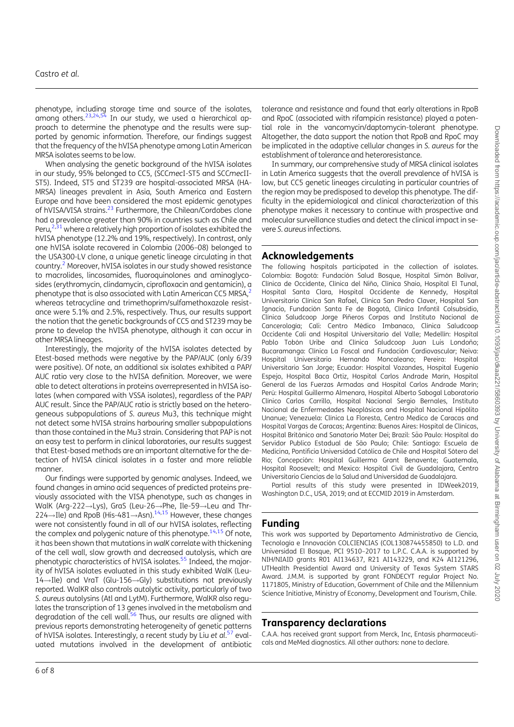phenotype, including storage time and source of the isolates, among others.<sup>23,24,54</sup> In our study, we used a hierarchical approach to determine the phenotype and the results were supported by genomic information. Therefore, our findings suggest that the frequency of the hVISA phenotype among Latin American MRSA isolates seems to be low.

When analysing the genetic background of the hVISA isolates in our study, 95% belonged to CC5, (SCCmecI-ST5 and SCCmecII-ST5). Indeed, ST5 and ST239 are hospital-associated MRSA (HA-MRSA) lineages prevalent in Asia, South America and Eastern Europe and have been considered the most epidemic genotypes of hVISA/VISA strains.<sup>23</sup> Furthermore, the Chilean/Cordobes clone had a prevalence greater than 90% in countries such as Chile and Peru, $^{2,31}$  where a relatively high proportion of isolates exhibited the hVISA phenotype (12.2% and 19%, respectively). In contrast, only one hVISA isolate recovered in Colombia (2006–08) belonged to the USA300-LV clone, a unique genetic lineage circulating in that country.2 Moreover, hVISA isolates in our study showed resistance to macrolides, lincosamides, fluoroquinolones and aminoglycosides (erythromycin, clindamycin, ciprofloxacin and gentamicin), a phenotype that is also associated with Latin American CC5 MRSA,<sup>2</sup> whereas tetracycline and trimethoprim/sulfamethoxazole resistance were 5.1% and 2.5%, respectively. Thus, our results support the notion that the genetic backgrounds of CC5 and ST239 may be prone to develop the hVISA phenotype, although it can occur in other MRSA lineages.

Interestingly, the majority of the hVISA isolates detected by Etest-based methods were negative by the PAP/AUC (only 6/39 were positive). Of note, an additional six isolates exhibited a PAP/ AUC ratio very close to the hVISA definition. Moreover, we were able to detect alterations in proteins overrepresented in hVISA isolates (when compared with VSSA isolates), regardless of the PAP/ AUC result. Since the PAP/AUC ratio is strictly based on the heterogeneous subpopulations of S. aureus Mu3, this technique might not detect some hVISA strains harbouring smaller subpopulations than those contained in the Mu3 strain. Considering that PAP is not an easy test to perform in clinical laboratories, our results suggest that Etest-based methods are an important alternative for the detection of hVISA clinical isolates in a faster and more reliable manner.

Our findings were supported by genomic analyses. Indeed, we found changes in amino acid sequences of predicted proteins previously associated with the VISA phenotype, such as changes in WalK (Arg-222 $\rightarrow$ Lys), GraS (Leu-26 $\rightarrow$ Phe, Ile-59 $\rightarrow$ Leu and Thr- $224 \rightarrow$ Ile) and RpoB (His-481 $\rightarrow$ Asn).<sup>14,15</sup> However, these changes were not consistently found in all of our hVISA isolates, reflecting the complex and polygenic nature of this phenotype. $14,15$  Of note, it has been shown that mutations in walK correlate with thickening of the cell wall, slow growth and decreased autolysis, which are phenotypic characteristics of hVISA isolates.<sup>55</sup> Indeed, the majority of hVISA isolates evaluated in this study exhibited WalK (Leu- $14 \rightarrow$ Ile) and VraT (Glu-156 $\rightarrow$ Gly) substitutions not previously reported. WalKR also controls autolytic activity, particularly of two S. aureus autolysins (Atl and LytM). Furthermore, WalKR also regulates the transcription of 13 genes involved in the metabolism and degradation of the cell wall. $56$  Thus, our results are aligned with previous reports demonstrating heterogeneity of genetic patterns of hVISA isolates. Interestingly, a recent study by Liu et al.<sup>57</sup> evaluated mutations involved in the development of antibiotic

tolerance and resistance and found that early alterations in RpoB and RpoC (associated with rifampicin resistance) played a potential role in the vancomycin/daptomycin-tolerant phenotype. Altogether, the data support the notion that RpoB and RpoC may be implicated in the adaptive cellular changes in S. aureus for the establishment of tolerance and heteroresistance.

In summary, our comprehensive study of MRSA clinical isolates in Latin America suggests that the overall prevalence of hVISA is low, but CC5 genetic lineages circulating in particular countries of the region may be predisposed to develop this phenotype. The difficulty in the epidemiological and clinical characterization of this phenotype makes it necessary to continue with prospective and molecular surveillance studies and detect the clinical impact in severe S. aureus infections.

#### Acknowledgements

The following hospitals participated in the collection of isolates. Colombia: Bogotá: Fundación Salud Bosque, Hospital Simón Bolívar, Clínica de Occidente, Clínica del Niño, Clínica Shaio, Hospital El Tunal, Hospital Santa Clara, Hospital Occidente de Kennedy, Hospital Universitario Clínica San Rafael, Clínica San Pedro Claver, Hospital San Ignacio, Fundación Santa Fe de Bogotá, Clínica Infantil Colsubsidio, Clínica Saludcoop Jorge Piñeros Corpas and Instituto Nacional de Cancerología; Cali: Centro Médico Imbanaco, Clínica Saludcoop Occidente Cali and Hospital Universitario del Valle; Medellín: Hospital Pablo Tobón Uribe and Clínica Saludcoop Juan Luis Londoño; Bucaramanga: Clínica La Foscal and Fundación Cardiovascular; Neiva: Hospital Universitario Hernando Moncaleano; Pereira: Hospital Universitario San Jorge; Ecuador: Hospital Vozandes, Hospital Eugenio Espejo, Hospital Baca Ortiz, Hospital Carlos Andrade Marín, Hospital General de las Fuerzas Armadas and Hospital Carlos Andrade Marín; Perú: Hospital Guillermo Almenara, Hospital Alberto Sabogal Laboratorio Clínico Carlos Carrillo, Hospital Nacional Sergio Bernales, Instituto Nacional de Enfermedades Neoplásicas and Hospital Nacional Hipólito Unanue; Venezuela: Clínica La Floresta, Centro Medico de Caracas and Hospital Vargas de Caracas; Argentina: Buenos Aires: Hospital de Clínicas, Hospital Británico and Sanatorio Mater Dei; Brazil: São Paulo: Hospital do Servidor Publico Estadual de São Paulo; Chile: Santiago: Escuela de Medicina, Pontificia Universidad Católica de Chile and Hospital Sótero del Río: Concepción: Hospital Guillermo Grant Benavente: Guatemala, Hospital Roosevelt; and Mexico: Hospital Civil de Guadalajara, Centro Universitario Ciencias de la Salud and Universidad de Guadalajara.

Partial results of this study were presented in IDWeek2019, Washington D.C., USA, 2019; and at ECCMID 2019 in Amsterdam.

#### Funding

This work was supported by Departamento Administrativo de Ciencia, Tecnología e Innovación COLCIENCIAS (COL130874455850) to L.D. and Universidad El Bosque, PCI 9510–2017 to L.P.C. C.A.A. is supported by NIH/NIAID grants R01 AI134637, R21 AI143229, and K24 AI121296, UTHealth Presidential Award and University of Texas System STARS Award. J.M.M. is supported by grant FONDECYT regular Project No. 1171805, Ministry of Education, Government of Chile and the Millennium Science Initiative, Ministry of Economy, Development and Tourism, Chile.

## Transparency declarations

C.A.A. has received grant support from Merck, Inc, Entasis pharmaceuticals and MeMed diagnostics. All other authors: none to declare.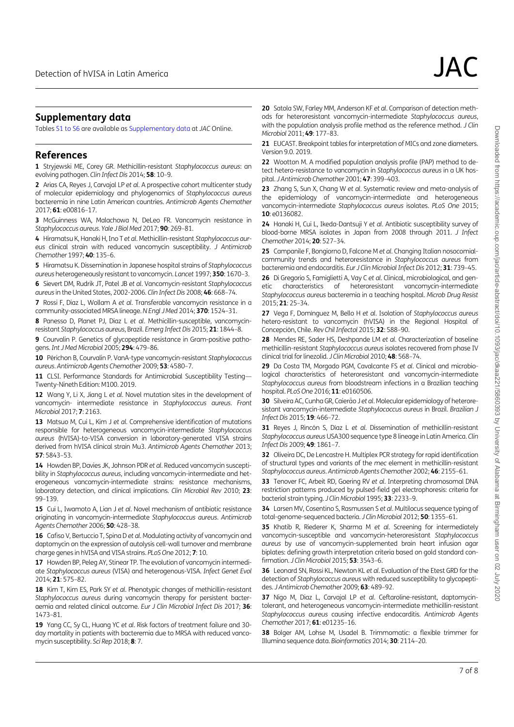#### Supplementary data

Tables S1 to S6 are available as Supplementary data at JAC Online.

#### References

1 Stryjewski ME, Corey GR. Methicillin-resistant Staphylococcus aureus: an evolving pathogen. Clin Infect Dis 2014; 58: 10–9.

2 Arias CA, Reyes J, Carvajal LP et al. A prospective cohort multicenter study of molecular epidemiology and phylogenomics of Staphylococcus aureus bacteremia in nine Latin American countries. Antimicrob Agents Chemother 2017; 61: e00816–17.

3 McGuinness WA, Malachowa N, DeLeo FR. Vancomycin resistance in Staphylococcus aureus. Yale J Biol Med 2017; 90: 269–81.

4 Hiramatsu K, Hanaki H, Ino T et al. Methicillin-resistant Staphylococcus aureus clinical strain with reduced vancomycin susceptibility. J Antimicrob Chemother 1997; 40: 135–6.

5 Hiramatsu K. Dissemination in Japanese hospital strains of Staphylococcus aureus heterogeneously resistant to vancomycin. Lancet 1997; 350: 1670–3.

6 Sievert DM, Rudrik JT, Patel JB et al. Vancomycin-resistant Staphylococcus aureus in the United States, 2002-2006. Clin Infect Dis 2008; 46: 668–74.

7 Rossi F, Diaz L, Wollam A et al. Transferable vancomycin resistance in a community-associated MRSA lineage.N Engl J Med 2014; 370: 1524–31.

8 Panesso D, Planet PJ, Diaz L et al. Methicillin-susceptible, vancomycinresistant Staphylococcus aureus, Brazil. Emerg Infect Dis 2015; 21: 1844–8.

9 Courvalin P. Genetics of glycopeptide resistance in Gram-positive pathogens.Int J Med Microbiol 2005; 294: 479–86.

10 Périchon B, Courvalin P. VanA-type vancomycin-resistant Staphylococcus aureus. Antimicrob Agents Chemother 2009; 53: 4580–7.

11 CLSI. Performance Standards for Antimicrobial Susceptibility Testing-Twenty-Nineth Edition: M100. 2019.

12 Wang Y, Li X, Jiang L et al. Novel mutation sites in the development of vancomycin- intermediate resistance in Staphylococcus aureus. Front Microbiol 2017; 7: 2163.

13 Matsuo M, Cui L, Kim J et al. Comprehensive identification of mutations responsible for heterogeneous vancomycin-intermediate Staphylococcus aureus (hVISA)-to-VISA conversion in laboratory-generated VISA strains derived from hVISA clinical strain Mu3. Antimicrob Agents Chemother 2013; 57: 5843–53.

14 Howden BP, Davies JK, Johnson PDR et al. Reduced vancomycin susceptibility in Staphylococcus aureus, including vancomycin-intermediate and heterogeneous vancomycin-intermediate strains: resistance mechanisms, laboratory detection, and clinical implications. Clin Microbiol Rev 2010; 23: 99–139.

15 Cui L, Iwamoto A, Lian J et al. Novel mechanism of antibiotic resistance originating in vancomycin-intermediate Staphylococcus aureus. Antimicrob Agents Chemother 2006; 50: 428–38.

16 Cafiso V, Bertuccio T, Spina D et al. Modulating activity of vancomycin and daptomycin on the expression of autolysis cell-wall turnover and membrane charge genes in hVISA and VISA strains. PLoS One 2012; 7: 10.

17 Howden BP, Peleg AY, Stinear TP. The evolution of vancomycin intermediate Staphylococcus aureus (VISA) and heterogenous-VISA. Infect Genet Evol 2014; 21: 575–82.

18 Kim T, Kim ES, Park SY et al. Phenotypic changes of methicillin-resistant Staphylococcus aureus during vancomycin therapy for persistent bacteraemia and related clinical outcome. Eur J Clin Microbiol Infect Dis 2017; 36: 1473–81.

19 Yang CC, Sy CL, Huang YC et al. Risk factors of treatment failure and 30day mortality in patients with bacteremia due to MRSA with reduced vancomycin susceptibility. Sci Rep 2018; 8: 7.

20 Satola SW, Farley MM, Anderson KF et al. Comparison of detection methods for heteroresistant vancomycin-intermediate Staphylococcus aureus, with the population analysis profile method as the reference method. J Clin Microbiol 2011; 49: 177–83.

21 EUCAST. Breakpoint tables for interpretation of MICs and zone diameters. Version 9.0. 2019.

22 Wootton M. A modified population analysis profile (PAP) method to detect hetero-resistance to vancomycin in Staphylococcus aureus in a UK hospital. J Antimicrob Chemother 2001; 47: 399–403.

23 Zhang S, Sun X, Chang W et al. Systematic review and meta-analysis of the epidemiology of vancomycin-intermediate and heterogeneous vancomycin-intermediate Staphylococcus aureus isolates. PLoS One 2015; 10: e0136082.

24 Hanaki H, Cui L, Ikeda-Dantsuji Y et al. Antibiotic susceptibility survey of blood-borne MRSA isolates in Japan from 2008 through 2011. J Infect Chemother 2014; 20: 527–34.

25 Campanile F, Bongiorno D, Falcone M et al. Changing Italian nosocomialcommunity trends and heteroresistance in Staphylococcus aureus from bacteremia and endocarditis. Eur J Clin Microbiol Infect Dis 2012; 31: 739–45.

26 Di Gregorio S, Famiglietti A, Vay C et al. Clinical, microbiological, and genetic characteristics of heteroresistant vancomycin-intermediate Staphylococcus aureus bacteremia in a teaching hospital. Microb Drug Resist 2015; 21: 25–34.

27 Vega F, Domínguez M, Bello H et al. Isolation of Staphylococcus aureus hetero-resistant to vancomycin (hVISA) in the Regional Hospital of Concepción, Chile. Rev Chil Infectol 2015; 32: 588-90.

28 Mendes RE, Sader HS, Deshpande LM et al. Characterization of baseline methicillin-resistant Staphylococcus aureus isolates recovered from phase IV clinical trial for linezolid. J Clin Microbiol 2010; 48: 568–74.

29 Da Costa TM, Morgado PGM, Cavalcante FS et al. Clinical and microbiological characteristics of heteroresistant and vancomycin-intermediate Staphylococcus aureus from bloodstream infections in a Brazilian teaching hospital. PLoS One 2016; 11: e0160506.

30 Silveira AC, Cunha GR, Caierão J et al. Molecular epidemiology of heteroresistant vancomycin-intermediate Staphylococcus aureus in Brazil. Brazilian J Infect Dis 2015; 19: 466–72.

31 Reyes J, Rincón S, Díaz L et al. Dissemination of methicillin-resistant Staphylococcus aureus USA300 sequence type 8 lineage in Latin America. Clin Infect Dis 2009; 49: 1861–7.

32 Oliveira DC, De Lencastre H. Multiplex PCR strategy for rapid identification of structural types and variants of the mec element in methicillin-resistant Staphylococcus aureus. Antimicrob Agents Chemother 2002; 46: 2155–61.

33 Tenover FC, Arbeit RD, Goering RV et al. Interpreting chromosomal DNA restriction patterns produced by pulsed-field gel electrophoresis: criteria for bacterial strain typing. J Clin Microbiol 1995; 33: 2233-9.

34 Larsen MV, Cosentino S, Rasmussen S et al. Multilocus sequence typing of total-genome-sequenced bacteria. J Clin Microbiol 2012; 50: 1355–61.

35 Khatib R, Riederer K, Sharma M et al. Screening for intermediately vancomycin-susceptible and vancomycin-heteroresistant Staphylococcus aureus by use of vancomycin-supplemented brain heart infusion agar biplates: defining growth interpretation criteria based on gold standard confirmation. J Clin Microbiol 2015: 53: 3543-6.

36 Leonard SN, Rossi KL, Newton KL et al. Evaluation of the Etest GRD for the detection of Staphylococcus aureus with reduced susceptibility to glycopeptides. J Antimicrob Chemother 2009; 63: 489–92.

37 Nigo M, Diaz L, Carvajal LP et al. Ceftaroline-resistant, daptomycintolerant, and heterogeneous vancomycin-intermediate methicillin-resistant Staphylococcus aureus causing infective endocarditis. Antimicrob Agents Chemother 2017; 61: e01235–16.

38 Bolger AM, Lohse M, Usadel B. Trimmomatic: a flexible trimmer for Illumina sequence data. Bioinformatics 2014; 30: 2114–20.